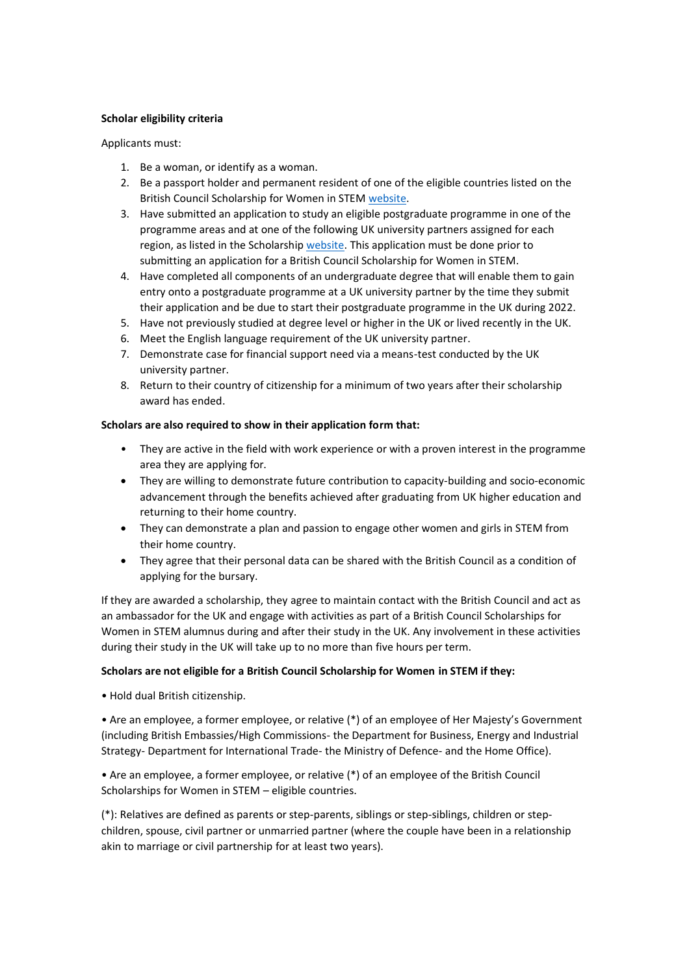## **Scholar eligibility criteria**

Applicants must:

- 1. Be a woman, or identify as a woman.
- 2. Be a passport holder and permanent resident of one of the eligible countries listed on the British Council Scholarship for Women in STEM [website.](https://www.britishcouncil.org/study-work-abroad/in-uk/scholarship-women-stem)
- 3. Have submitted an application to study an eligible postgraduate programme in one of the programme areas and at one of the following UK university partners assigned for each region, as listed in the Scholarship [website.](https://www.britishcouncil.org/study-work-abroad/in-uk/scholarship-women-stem) This application must be done prior to submitting an application for a British Council Scholarship for Women in STEM.
- 4. Have completed all components of an undergraduate degree that will enable them to gain entry onto a postgraduate programme at a UK university partner by the time they submit their application and be due to start their postgraduate programme in the UK during 2022.
- 5. Have not previously studied at degree level or higher in the UK or lived recently in the UK.
- 6. Meet the English language requirement of the UK university partner.
- 7. Demonstrate case for financial support need via a means-test conducted by the UK university partner.
- 8. Return to their country of citizenship for a minimum of two years after their scholarship award has ended.

## **Scholars are also required to show in their application form that:**

- They are active in the field with work experience or with a proven interest in the programme area they are applying for.
- They are willing to demonstrate future contribution to capacity-building and socio-economic advancement through the benefits achieved after graduating from UK higher education and returning to their home country.
- They can demonstrate a plan and passion to engage other women and girls in STEM from their home country.
- They agree that their personal data can be shared with the British Council as a condition of applying for the bursary.

If they are awarded a scholarship, they agree to maintain contact with the British Council and act as an ambassador for the UK and engage with activities as part of a British Council Scholarships for Women in STEM alumnus during and after their study in the UK. Any involvement in these activities during their study in the UK will take up to no more than five hours per term.

## **Scholars are not eligible for a British Council Scholarship for Women in STEM if they:**

• Hold dual British citizenship.

• Are an employee, a former employee, or relative (\*) of an employee of Her Majesty's Government (including British Embassies/High Commissions- the Department for Business, Energy and Industrial Strategy- Department for International Trade- the Ministry of Defence- and the Home Office).

• Are an employee, a former employee, or relative (\*) of an employee of the British Council Scholarships for Women in STEM – eligible countries.

(\*): Relatives are defined as parents or step-parents, siblings or step-siblings, children or stepchildren, spouse, civil partner or unmarried partner (where the couple have been in a relationship akin to marriage or civil partnership for at least two years).